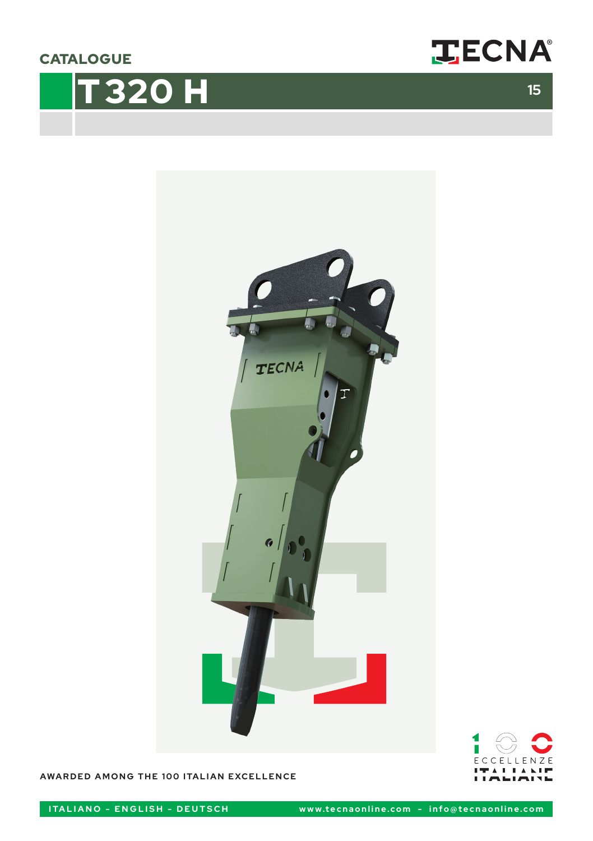**CATALOGUE** 









**AWARDED AMONG THE 100 ITALIAN EXCELLENCE**